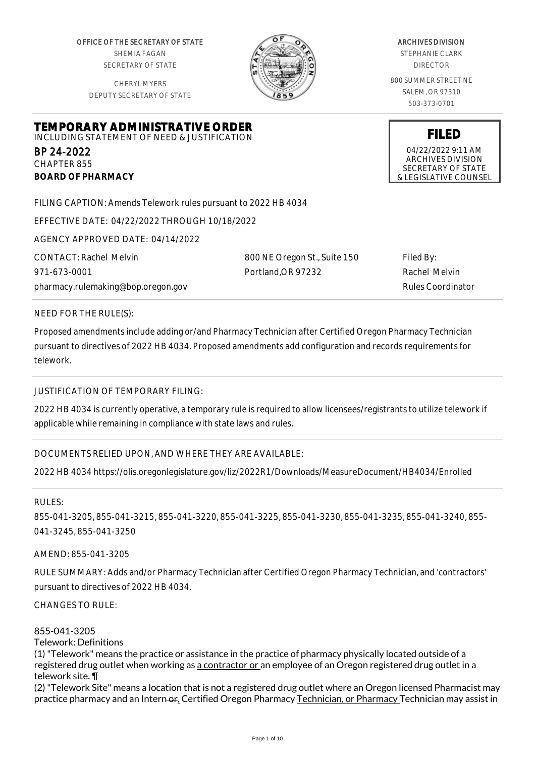OFFICE OF THE SECRETARY OF STATE SHEMIA FAGAN SECRETARY OF STATE

CHERYL MYERS DEPUTY SECRETARY OF STATE

**TEMPORARY ADMINISTRATIVE ORDER** INCLUDING STATEMENT OF NEED & JUSTIFICATION



#### ARCHIVES DIVISION

STEPHANIE CLARK DIRECTOR

800 SUMMER STREET NE SALEM, OR 97310 503-373-0701

**FILED** 04/22/2022 9:11 AM ARCHIVES DIVISION SECRETARY OF STATE & LEGISLATIVE COUNSEL

FILING CAPTION: Amends Telework rules pursuant to 2022 HB 4034

EFFECTIVE DATE: 04/22/2022 THROUGH 10/18/2022

AGENCY APPROVED DATE: 04/14/2022

CONTACT: Rachel Melvin 971-673-0001 pharmacy.rulemaking@bop.oregon.gov 800 NE Oregon St., Suite 150 Portland,OR 97232

Filed By: Rachel Melvin Rules Coordinator

NEED FOR THE RULE(S):

BP 24-2022 CHAPTER 855

**BOARD OF PHARMACY**

Proposed amendments include adding or/and Pharmacy Technician after Certified Oregon Pharmacy Technician pursuant to directives of 2022 HB 4034. Proposed amendments add configuration and records requirements for telework.

JUSTIFICATION OF TEMPORARY FILING:

2022 HB 4034 is currently operative, a temporary rule is required to allow licensees/registrants to utilize telework if applicable while remaining in compliance with state laws and rules.

DOCUMENTS RELIED UPON, AND WHERE THEY ARE AVAILABLE:

2022 HB 4034 https://olis.oregonlegislature.gov/liz/2022R1/Downloads/MeasureDocument/HB4034/Enrolled

RULES:

855-041-3205, 855-041-3215, 855-041-3220, 855-041-3225, 855-041-3230, 855-041-3235, 855-041-3240, 855- 041-3245, 855-041-3250

AMEND: 855-041-3205

RULE SUMMARY: Adds and/or Pharmacy Technician after Certified Oregon Pharmacy Technician, and 'contractors' pursuant to directives of 2022 HB 4034.

CHANGES TO RULE:

855-041-3205

Telework: Definitions

(1) "Telework" means the practice or assistance in the practice of pharmacy physically located outside of a registered drug outlet when working as a contractor or an employee of an Oregon registered drug outlet in a telework site. ¶

(2) "Telework Site" means a location that is not a registered drug outlet where an Oregon licensed Pharmacist may practice pharmacy and an Intern-or, Certified Oregon Pharmacy Technician, or Pharmacy Technician may assist in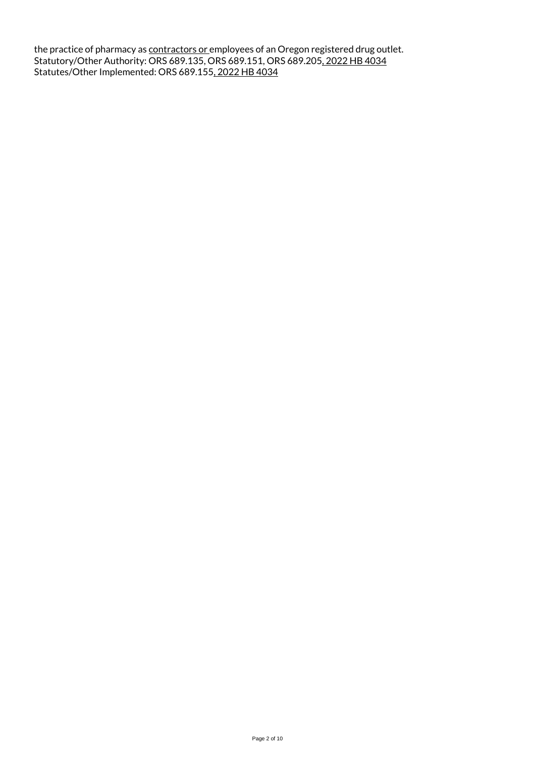the practice of pharmacy as <u>contractors or </u>employees of an Oregon registered drug outlet. Statutory/Other Authority: ORS 689.135, ORS 689.151, ORS 689.205, 2022 HB 4034 Statutes/Other Implemented: ORS 689.155, 2022 HB 4034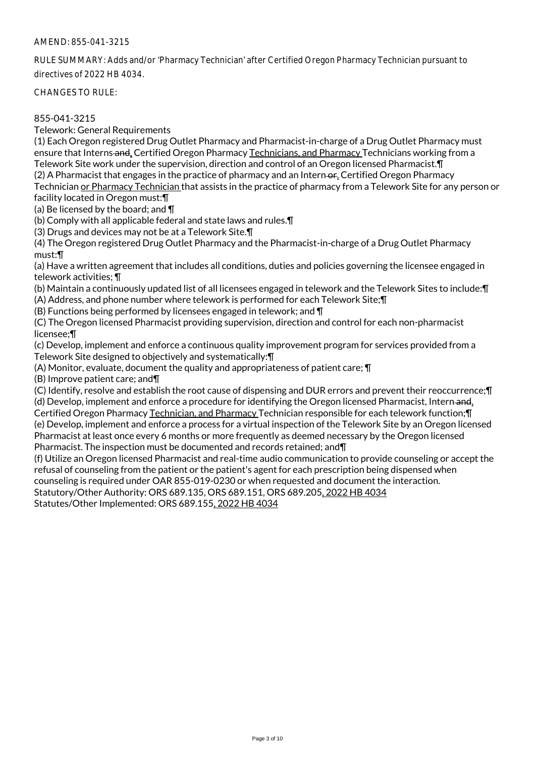RULE SUMMARY: Adds and/or 'Pharmacy Technician' after Certified Oregon Pharmacy Technician pursuant to directives of 2022 HB 4034.

CHANGES TO RULE:

# 855-041-3215

Telework: General Requirements

(1) Each Oregon registered Drug Outlet Pharmacy and Pharmacist-in-charge of a Drug Outlet Pharmacy must ensure that Interns and, Certified Oregon Pharmacy Technicians, and Pharmacy Technicians working from a Telework Site work under the supervision, direction and control of an Oregon licensed Pharmacist.¶ (2) A Pharmacist that engages in the practice of pharmacy and an Intern-or, Certified Oregon Pharmacy Technician or Pharmacy Technician that assists in the practice of pharmacy from a Telework Site for any person or

facility located in Oregon must:¶

(a) Be licensed by the board; and ¶

(b) Comply with all applicable federal and state laws and rules.¶

(3) Drugs and devices may not be at a Telework Site.¶

(4) The Oregon registered Drug Outlet Pharmacy and the Pharmacist-in-charge of a Drug Outlet Pharmacy must:¶

(a) Have a written agreement that includes all conditions, duties and policies governing the licensee engaged in telework activities; ¶

(b) Maintain a continuously updated list of all licensees engaged in telework and the Telework Sites to include:¶

(A) Address, and phone number where telework is performed for each Telework Site;¶

(B) Functions being performed by licensees engaged in telework; and ¶

(C) The Oregon licensed Pharmacist providing supervision, direction and control for each non-pharmacist licensee;¶

(c) Develop, implement and enforce a continuous quality improvement program for services provided from a Telework Site designed to objectively and systematically:¶

(A) Monitor, evaluate, document the quality and appropriateness of patient care; ¶

(B) Improve patient care; and¶

(C) Identify, resolve and establish the root cause of dispensing and DUR errors and prevent their reoccurrence;¶ (d) Develop, implement and enforce a procedure for identifying the Oregon licensed Pharmacist, Intern-and,

Certified Oregon Pharmacy Technician, and Pharmacy Technician responsible for each telework function;¶ (e) Develop, implement and enforce a process for a virtual inspection of the Telework Site by an Oregon licensed Pharmacist at least once every 6 months or more frequently as deemed necessary by the Oregon licensed

Pharmacist. The inspection must be documented and records retained; and¶

(f) Utilize an Oregon licensed Pharmacist and real-time audio communication to provide counseling or accept the refusal of counseling from the patient or the patient's agent for each prescription being dispensed when counseling is required under OAR 855-019-0230 or when requested and document the interaction.

Statutory/Other Authority: ORS 689.135, ORS 689.151, ORS 689.205, 2022 HB 4034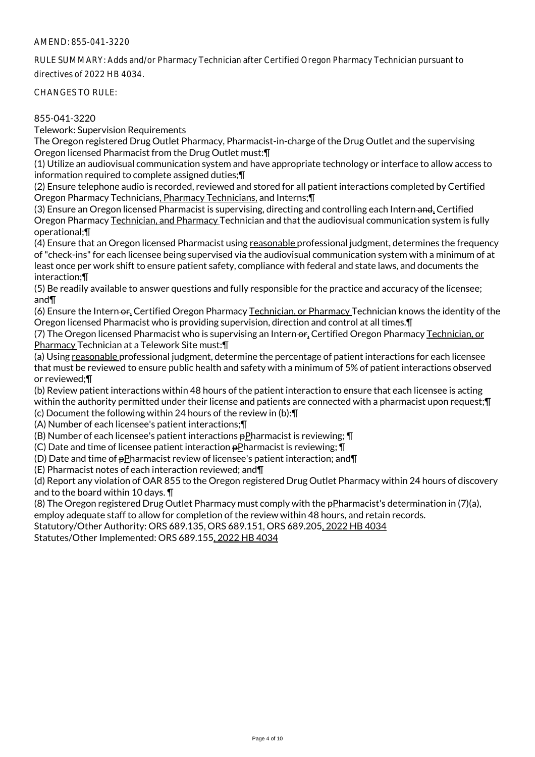RULE SUMMARY: Adds and/or Pharmacy Technician after Certified Oregon Pharmacy Technician pursuant to directives of 2022 HB 4034.

CHANGES TO RULE:

### 855-041-3220

Telework: Supervision Requirements

The Oregon registered Drug Outlet Pharmacy, Pharmacist-in-charge of the Drug Outlet and the supervising Oregon licensed Pharmacist from the Drug Outlet must:¶

(1) Utilize an audiovisual communication system and have appropriate technology or interface to allow access to information required to complete assigned duties;¶

(2) Ensure telephone audio is recorded, reviewed and stored for all patient interactions completed by Certified Oregon Pharmacy Technicians, Pharmacy Technicians, and Interns;¶

(3) Ensure an Oregon licensed Pharmacist is supervising, directing and controlling each Intern and, Certified Oregon Pharmacy Technician, and Pharmacy Technician and that the audiovisual communication system is fully operational;¶

(4) Ensure that an Oregon licensed Pharmacist using reasonable professional judgment, determines the frequency of "check-ins" for each licensee being supervised via the audiovisual communication system with a minimum of at least once per work shift to ensure patient safety, compliance with federal and state laws, and documents the interaction;¶

(5) Be readily available to answer questions and fully responsible for the practice and accuracy of the licensee; and¶

(6) Ensure the Intern-or, Certified Oregon Pharmacy Technician, or Pharmacy Technician knows the identity of the Oregon licensed Pharmacist who is providing supervision, direction and control at all times.¶

(7) The Oregon licensed Pharmacist who is supervising an Intern-or, Certified Oregon Pharmacy Technician, or Pharmacy Technician at a Telework Site must:¶

(a) Using reasonable professional judgment, determine the percentage of patient interactions for each licensee that must be reviewed to ensure public health and safety with a minimum of 5% of patient interactions observed or reviewed;¶

(b) Review patient interactions within 48 hours of the patient interaction to ensure that each licensee is acting within the authority permitted under their license and patients are connected with a pharmacist upon request;¶

(c) Document the following within 24 hours of the review in (b):¶

(A) Number of each licensee's patient interactions;¶

(B) Number of each licensee's patient interactions  $p$ Pharmacist is reviewing;  $\P$ 

(C) Date and time of licensee patient interaction  $p$ Pharmacist is reviewing;  $\P$ 

(D) Date and time of  $p$ Pharmacist review of licensee's patient interaction; and  $\P$ 

(E) Pharmacist notes of each interaction reviewed; and¶

(d) Report any violation of OAR 855 to the Oregon registered Drug Outlet Pharmacy within 24 hours of discovery and to the board within 10 days. ¶

(8) The Oregon registered Drug Outlet Pharmacy must comply with the pPharmacist's determination in (7)(a), employ adequate staff to allow for completion of the review within 48 hours, and retain records.

Statutory/Other Authority: ORS 689.135, ORS 689.151, ORS 689.205, 2022 HB 4034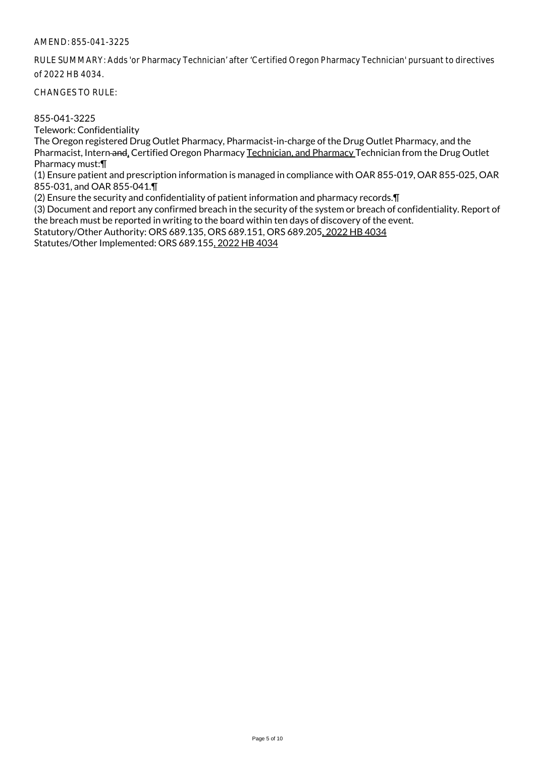RULE SUMMARY: Adds 'or Pharmacy Technician' after 'Certified Oregon Pharmacy Technician' pursuant to directives of 2022 HB 4034.

CHANGES TO RULE:

855-041-3225

Telework: Confidentiality

The Oregon registered Drug Outlet Pharmacy, Pharmacist-in-charge of the Drug Outlet Pharmacy, and the Pharmacist, Intern and, Certified Oregon Pharmacy Technician, and Pharmacy Technician from the Drug Outlet Pharmacy must:¶

(1) Ensure patient and prescription information is managed in compliance with OAR 855-019, OAR 855-025, OAR 855-031, and OAR 855-041.¶

(2) Ensure the security and confidentiality of patient information and pharmacy records.¶

(3) Document and report any confirmed breach in the security of the system or breach of confidentiality. Report of the breach must be reported in writing to the board within ten days of discovery of the event.

Statutory/Other Authority: ORS 689.135, ORS 689.151, ORS 689.205, 2022 HB 4034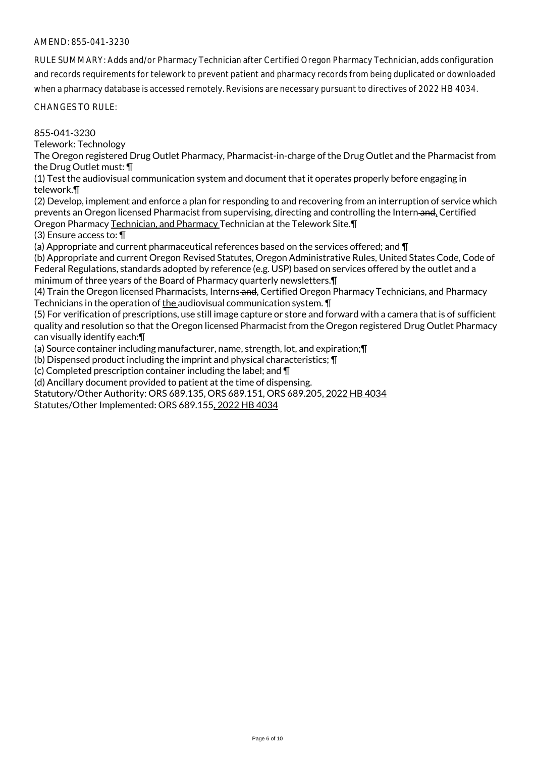RULE SUMMARY: Adds and/or Pharmacy Technician after Certified Oregon Pharmacy Technician, adds configuration and records requirements for telework to prevent patient and pharmacy records from being duplicated or downloaded when a pharmacy database is accessed remotely. Revisions are necessary pursuant to directives of 2022 HB 4034.

CHANGES TO RULE:

855-041-3230

Telework: Technology

The Oregon registered Drug Outlet Pharmacy, Pharmacist-in-charge of the Drug Outlet and the Pharmacist from the Drug Outlet must: ¶

(1) Test the audiovisual communication system and document that it operates properly before engaging in telework.¶

(2) Develop, implement and enforce a plan for responding to and recovering from an interruption of service which prevents an Oregon licensed Pharmacist from supervising, directing and controlling the Intern and, Certified Oregon Pharmacy Technician, and Pharmacy Technician at the Telework Site.¶

(3) Ensure access to: ¶

(a) Appropriate and current pharmaceutical references based on the services offered; and ¶

(b) Appropriate and current Oregon Revised Statutes, Oregon Administrative Rules, United States Code, Code of Federal Regulations, standards adopted by reference (e.g. USP) based on services offered by the outlet and a minimum of three years of the Board of Pharmacy quarterly newsletters.¶

(4) Train the Oregon licensed Pharmacists, Interns-and, Certified Oregon Pharmacy Technicians, and Pharmacy Technicians in the operation of the audiovisual communication system. ¶

(5) For verification of prescriptions, use still image capture or store and forward with a camera that is of sufficient quality and resolution so that the Oregon licensed Pharmacist from the Oregon registered Drug Outlet Pharmacy can visually identify each:¶

(a) Source container including manufacturer, name, strength, lot, and expiration;¶

(b) Dispensed product including the imprint and physical characteristics; ¶

(c) Completed prescription container including the label; and ¶

(d) Ancillary document provided to patient at the time of dispensing.

Statutory/Other Authority: ORS 689.135, ORS 689.151, ORS 689.205, 2022 HB 4034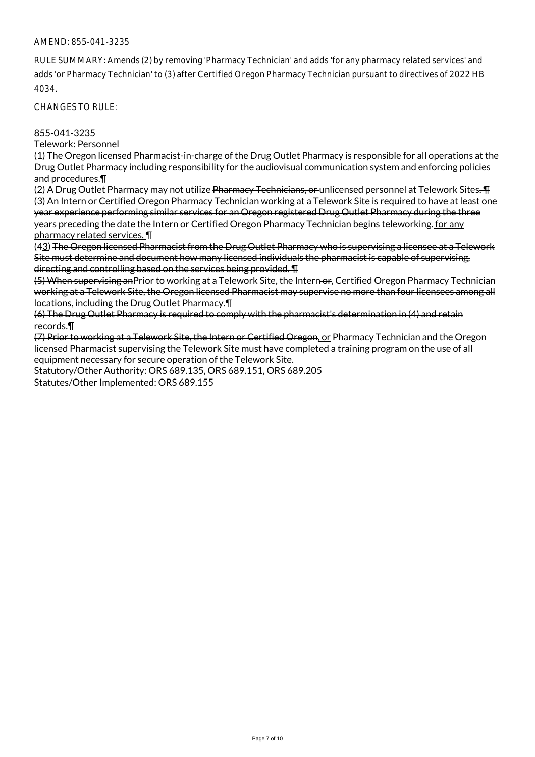RULE SUMMARY: Amends (2) by removing 'Pharmacy Technician' and adds 'for any pharmacy related services' and adds 'or Pharmacy Technician' to (3) after Certified Oregon Pharmacy Technician pursuant to directives of 2022 HB 4034.

CHANGES TO RULE:

### 855-041-3235

Telework: Personnel

(1) The Oregon licensed Pharmacist-in-charge of the Drug Outlet Pharmacy is responsible for all operations at the Drug Outlet Pharmacy including responsibility for the audiovisual communication system and enforcing policies and procedures.¶

(2) A Drug Outlet Pharmacy may not utilize Pharmacy Technicians, or unlicensed personnel at Telework Sites. TH (3) An Intern or Certified Oregon Pharmacy Technician working at a Telework Site is required to have at least one year experience performing similar services for an Oregon registered Drug Outlet Pharmacy during the three years preceding the date the Intern or Certified Oregon Pharmacy Technician begins teleworking. for any pharmacy related services. ¶

(43) The Oregon licensed Pharmacist from the Drug Outlet Pharmacy who is supervising a licensee at a Telework Site must determine and document how many licensed individuals the pharmacist is capable of supervising, directing and controlling based on the services being provided. ¶

(5) When supervising anPrior to working at a Telework Site, the Intern or, Certified Oregon Pharmacy Technician working at a Telework Site, the Oregon licensed Pharmacist may supervise no more than four licensees among all locations, including the Drug Outlet Pharmacy.¶

(6) The Drug Outlet Pharmacy is required to comply with the pharmacist's determination in (4) and retain records.¶

(7) Prior to working at a Telework Site, the Intern or Certified Oregon, or Pharmacy Technician and the Oregon licensed Pharmacist supervising the Telework Site must have completed a training program on the use of all equipment necessary for secure operation of the Telework Site.

Statutory/Other Authority: ORS 689.135, ORS 689.151, ORS 689.205

Statutes/Other Implemented: ORS 689.155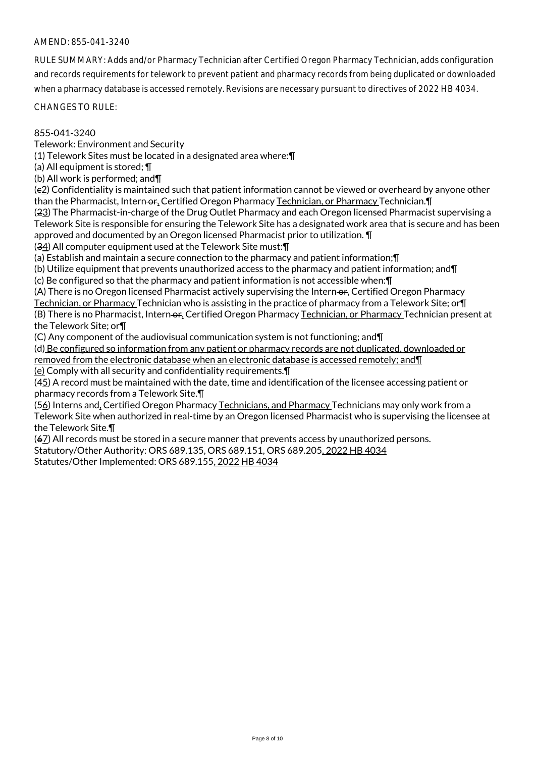RULE SUMMARY: Adds and/or Pharmacy Technician after Certified Oregon Pharmacy Technician, adds configuration and records requirements for telework to prevent patient and pharmacy records from being duplicated or downloaded when a pharmacy database is accessed remotely. Revisions are necessary pursuant to directives of 2022 HB 4034.

CHANGES TO RULE:

#### 855-041-3240

Telework: Environment and Security

(1) Telework Sites must be located in a designated area where:¶

(a) All equipment is stored; ¶

(b) All work is performed; and¶

(c2) Confidentiality is maintained such that patient information cannot be viewed or overheard by anyone other than the Pharmacist, Intern-or, Certified Oregon Pharmacy Technician, or Pharmacy Technician. [1]

(23) The Pharmacist-in-charge of the Drug Outlet Pharmacy and each Oregon licensed Pharmacist supervising a Telework Site is responsible for ensuring the Telework Site has a designated work area that is secure and has been approved and documented by an Oregon licensed Pharmacist prior to utilization. ¶

(34) All computer equipment used at the Telework Site must:¶

(a) Establish and maintain a secure connection to the pharmacy and patient information;¶

(b) Utilize equipment that prevents unauthorized access to the pharmacy and patient information; and¶

(c) Be configured so that the pharmacy and patient information is not accessible when:¶

(A) There is no Oregon licensed Pharmacist actively supervising the Intern-or, Certified Oregon Pharmacy Technician, or Pharmacy Technician who is assisting in the practice of pharmacy from a Telework Site; or¶ (B) There is no Pharmacist, Intern-or, Certified Oregon Pharmacy Technician, or Pharmacy Technician present at the Telework Site; or¶

(C) Any component of the audiovisual communication system is not functioning; and¶

(d) Be configured so information from any patient or pharmacy records are not duplicated, downloaded or removed from the electronic database when an electronic database is accessed remotely; and¶ (e) Comply with all security and confidentiality requirements.¶

(45) A record must be maintained with the date, time and identification of the licensee accessing patient or pharmacy records from a Telework Site.¶

(56) Interns and, Certified Oregon Pharmacy Technicians, and Pharmacy Technicians may only work from a Telework Site when authorized in real-time by an Oregon licensed Pharmacist who is supervising the licensee at the Telework Site.¶

(67) All records must be stored in a secure manner that prevents access by unauthorized persons. Statutory/Other Authority: ORS 689.135, ORS 689.151, ORS 689.205, 2022 HB 4034 Statutes/Other Implemented: ORS 689.155, 2022 HB 4034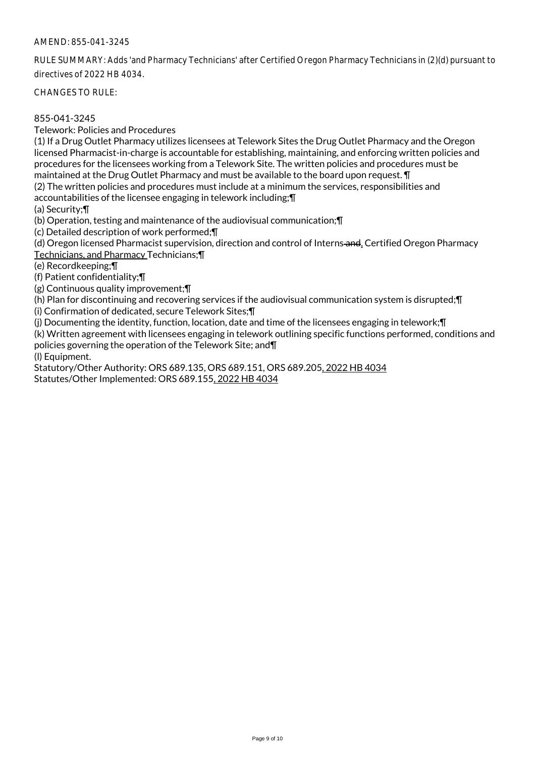RULE SUMMARY: Adds 'and Pharmacy Technicians' after Certified Oregon Pharmacy Technicians in (2)(d) pursuant to directives of 2022 HB 4034.

CHANGES TO RULE:

### 855-041-3245

Telework: Policies and Procedures

(1) If a Drug Outlet Pharmacy utilizes licensees at Telework Sites the Drug Outlet Pharmacy and the Oregon licensed Pharmacist-in-charge is accountable for establishing, maintaining, and enforcing written policies and procedures for the licensees working from a Telework Site. The written policies and procedures must be maintained at the Drug Outlet Pharmacy and must be available to the board upon request. ¶

(2) The written policies and procedures must include at a minimum the services, responsibilities and accountabilities of the licensee engaging in telework including;¶

(a) Security;¶

(b) Operation, testing and maintenance of the audiovisual communication;¶

(c) Detailed description of work performed;¶

(d) Oregon licensed Pharmacist supervision, direction and control of Interns-and, Certified Oregon Pharmacy Technicians, and Pharmacy Technicians;¶

(e) Recordkeeping;¶

(f) Patient confidentiality;¶

(g) Continuous quality improvement;¶

(h) Plan for discontinuing and recovering services if the audiovisual communication system is disrupted;¶ (i) Confirmation of dedicated, secure Telework Sites;¶

(j) Documenting the identity, function, location, date and time of the licensees engaging in telework;¶

(k) Written agreement with licensees engaging in telework outlining specific functions performed, conditions and policies governing the operation of the Telework Site; and¶

(l) Equipment.

Statutory/Other Authority: ORS 689.135, ORS 689.151, ORS 689.205, 2022 HB 4034 Statutes/Other Implemented: ORS 689.155, 2022 HB 4034